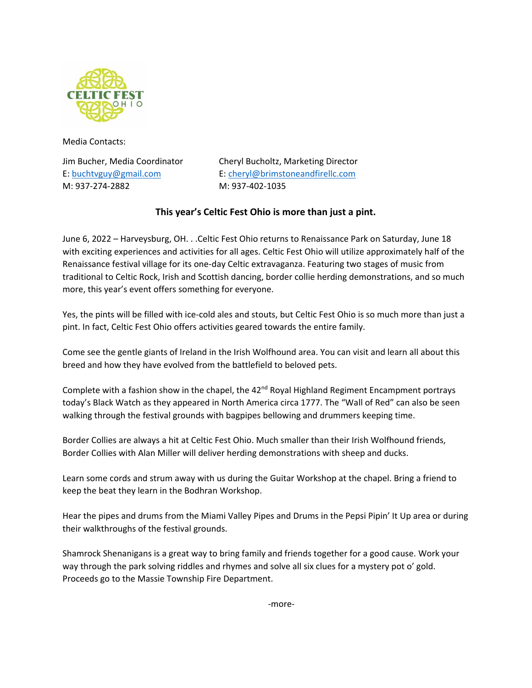

Media Contacts:

M: 937-274-2882 M: 937-402-1035

Jim Bucher, Media Coordinator Cheryl Bucholtz, Marketing Director E: [buchtvguy@gmail.com](mailto:buchtvguy@gmail.com) E: [cheryl@brimstoneandfirellc.com](mailto:cheryl@brimstoneandfirellc.com)

## **This year's Celtic Fest Ohio is more than just a pint.**

June 6, 2022 – Harveysburg, OH. . .Celtic Fest Ohio returns to Renaissance Park on Saturday, June 18 with exciting experiences and activities for all ages. Celtic Fest Ohio will utilize approximately half of the Renaissance festival village for its one-day Celtic extravaganza. Featuring two stages of music from traditional to Celtic Rock, Irish and Scottish dancing, border collie herding demonstrations, and so much more, this year's event offers something for everyone.

Yes, the pints will be filled with ice-cold ales and stouts, but Celtic Fest Ohio is so much more than just a pint. In fact, Celtic Fest Ohio offers activities geared towards the entire family.

Come see the gentle giants of Ireland in the Irish Wolfhound area. You can visit and learn all about this breed and how they have evolved from the battlefield to beloved pets.

Complete with a fashion show in the chapel, the  $42<sup>nd</sup>$  Royal Highland Regiment Encampment portrays today's Black Watch as they appeared in North America circa 1777. The "Wall of Red" can also be seen walking through the festival grounds with bagpipes bellowing and drummers keeping time.

Border Collies are always a hit at Celtic Fest Ohio. Much smaller than their Irish Wolfhound friends, Border Collies with Alan Miller will deliver herding demonstrations with sheep and ducks.

Learn some cords and strum away with us during the Guitar Workshop at the chapel. Bring a friend to keep the beat they learn in the Bodhran Workshop.

Hear the pipes and drums from the Miami Valley Pipes and Drums in the Pepsi Pipin' It Up area or during their walkthroughs of the festival grounds.

Shamrock Shenanigans is a great way to bring family and friends together for a good cause. Work your way through the park solving riddles and rhymes and solve all six clues for a mystery pot o' gold. Proceeds go to the Massie Township Fire Department.

-more-